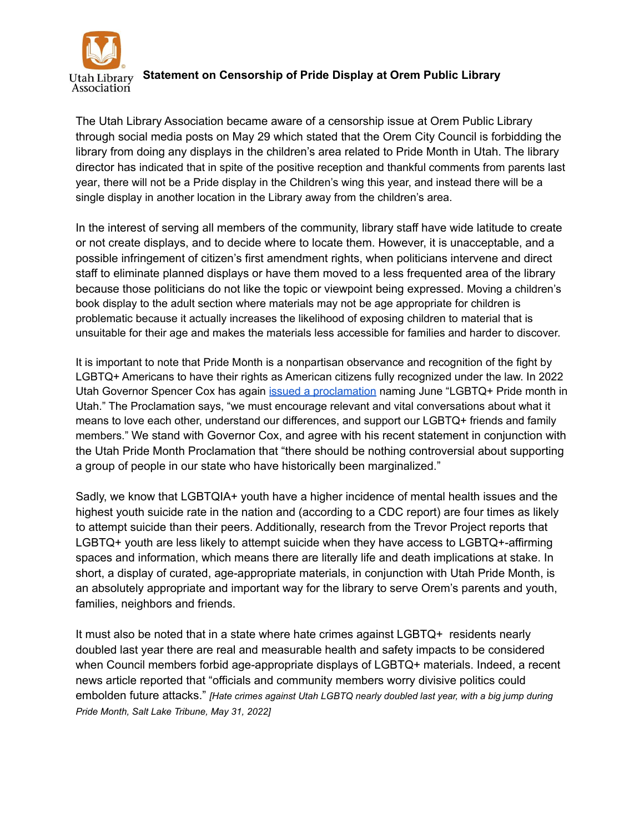

**Statement on Censorship of Pride Display at Orem Public Library** Utah Library Association

The Utah Library Association became aware of a censorship issue at Orem Public Library through social media posts on May 29 which stated that the Orem City Council is forbidding the library from doing any displays in the children's area related to Pride Month in Utah. The library director has indicated that in spite of the positive reception and thankful comments from parents last year, there will not be a Pride display in the Children's wing this year, and instead there will be a single display in another location in the Library away from the children's area.

In the interest of serving all members of the community, library staff have wide latitude to create or not create displays, and to decide where to locate them. However, it is unacceptable, and a possible infringement of citizen's first amendment rights, when politicians intervene and direct staff to eliminate planned displays or have them moved to a less frequented area of the library because those politicians do not like the topic or viewpoint being expressed. Moving a children's book display to the adult section where materials may not be age appropriate for children is problematic because it actually increases the likelihood of exposing children to material that is unsuitable for their age and makes the materials less accessible for families and harder to discover.

It is important to note that Pride Month is a nonpartisan observance and recognition of the fight by LGBTQ+ Americans to have their rights as American citizens fully recognized under the law. In 2022 Utah Governor Spencer Cox has again [issued a proclamation](https://drive.google.com/file/d/1djJgDgIGVca1cFH8QkeNWhKrk3IEIync/view) naming June "LGBTQ+ Pride month in Utah." The Proclamation says, "we must encourage relevant and vital conversations about what it means to love each other, understand our differences, and support our LGBTQ+ friends and family members." We stand with Governor Cox, and agree with his recent statement in conjunction with the Utah Pride Month Proclamation that "there should be nothing controversial about supporting a group of people in our state who have historically been marginalized."

Sadly, we know that LGBTQIA+ youth have a higher incidence of mental health issues and the highest youth suicide rate in the nation and (according to a CDC report) are four times as likely to attempt suicide than their peers. Additionally, research from the Trevor Project reports that LGBTQ+ youth are less likely to attempt suicide when they have access to LGBTQ+-affirming spaces and information, which means there are literally life and death implications at stake. In short, a display of curated, age-appropriate materials, in conjunction with Utah Pride Month, is an absolutely appropriate and important way for the library to serve Orem's parents and youth, families, neighbors and friends.

It must also be noted that in a state where hate crimes against LGBTQ+ residents nearly doubled last year there are real and measurable health and safety impacts to be considered when Council members forbid age-appropriate displays of LGBTQ+ materials. Indeed, a recent news article reported that "officials and community members worry divisive politics could embolden future attacks." *[Hate crimes against Utah LGBTQ nearly doubled last year, with a big jump during Pride Month, Salt Lake Tribune, May 31, 2022]*